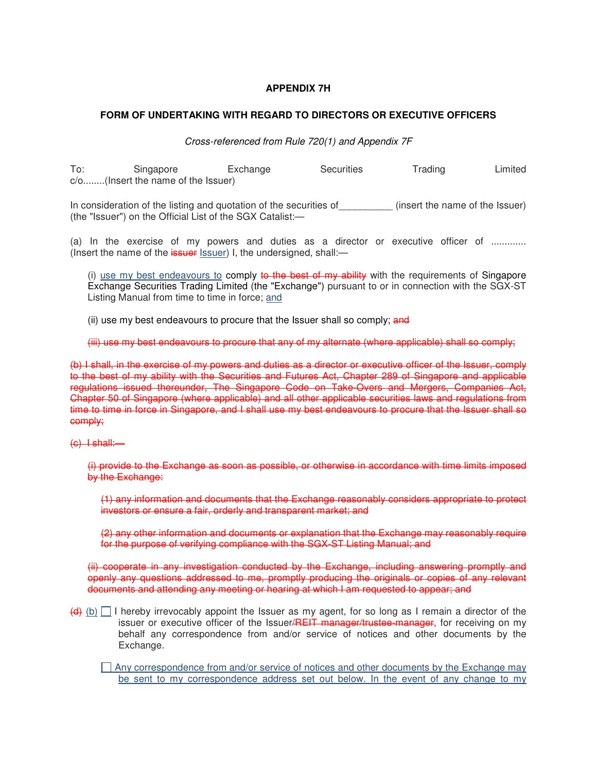## **APPENDIX 7H**

## **FORM OF UNDERTAKING WITH REGARD TO DIRECTORS OR EXECUTIVE OFFICERS**

Cross-referenced from Rule 720(1) and Appendix 7F

To: Singapore Exchange Securities Trading Limited c/o........(Insert the name of the Issuer)

In consideration of the listing and quotation of the securities of \_\_\_\_\_\_\_\_\_ (insert the name of the Issuer) (the "Issuer") on the Official List of the SGX Catalist:—

(a) In the exercise of my powers and duties as a director or executive officer of ............. (Insert the name of the issuer Issuer) I, the undersigned, shall:-

(i) use my best endeavours to comply to the best of  $m<sub>y</sub>$  ability with the requirements of Singapore Exchange Securities Trading Limited (the "Exchange") pursuant to or in connection with the SGX-ST Listing Manual from time to time in force; and

(ii) use my best endeavours to procure that the Issuer shall so comply;  $\frac{1}{2}$ 

(iii) use my best endeavours to procure that any of my alternate (where applicable) shall so comply;

(b) I shall, in the exercise of my powers and duties as a director or executive officer of the Issuer, comply to the best of my ability with the Securities and Futures Act, Chapter 289 of Singapore and applicable regulations issued thereunder, The Singapore Code on Take-Overs and Mergers, Companies Act, Chapter 50 of Singapore (where applicable) and all other applicable securities laws and regulations from time to time in force in Singapore, and I shall use my best endeavours to procure that the Issuer shall so comply;

 $(a)$  I shall:

(i) provide to the Exchange as soon as possible, or otherwise in accordance with time limits imposed by the Exchange:

(1) any information and documents that the Exchange reasonably considers appropriate to protect investors or ensure a fair, orderly and transparent market; and

(2) any other information and documents or explanation that the Exchange may reasonably require for the purpose of verifying compliance with the SGX-ST Listing Manual; and

(ii) cooperate in any investigation conducted by the Exchange, including answering promptly and openly any questions addressed to me, promptly producing the originals or copies of any relevant documents and attending any meeting or hearing at which I am requested to appear; and

 $\left(\frac{d}{d}\right)$  (b) I hereby irrevocably appoint the Issuer as my agent, for so long as I remain a director of the issuer or executive officer of the Issuer/REIT manager/trustee-manager, for receiving on my behalf any correspondence from and/or service of notices and other documents by the Exchange.

 $\Box$  Any correspondence from and/or service of notices and other documents by the Exchange may be sent to my correspondence address set out below. In the event of any change to my